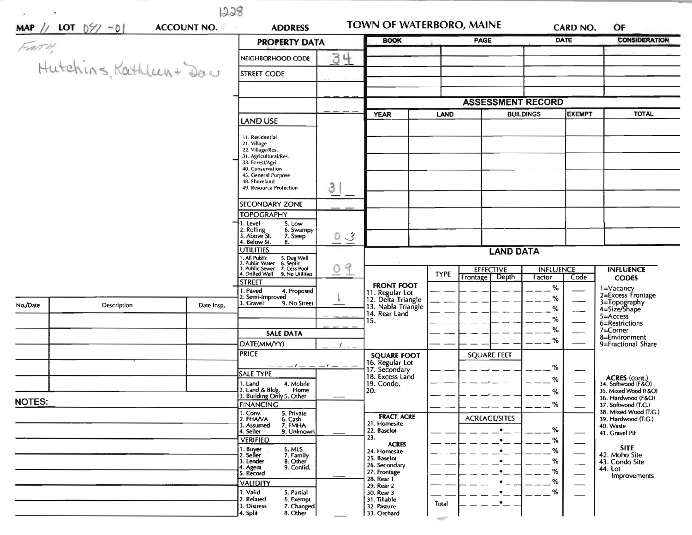|               |                                | 1228               |                                                                                                 |               |                                                     | <b>TOWN OF WATERBORO, MAINE</b>  |                  |                          |                                                             |
|---------------|--------------------------------|--------------------|-------------------------------------------------------------------------------------------------|---------------|-----------------------------------------------------|----------------------------------|------------------|--------------------------|-------------------------------------------------------------|
| <b>MAP</b>    | $1/$ LOT $ 5\frac{1}{2} $ - 01 | <b>ACCOUNT NO.</b> | <b>ADDRESS</b><br><b>PROPERTY DATA</b>                                                          |               | <b>BOOK</b>                                         | <b>PAGE</b>                      | DATE             | <b>CARD NO.</b>          | ÓF<br><b>CONSIDERATION</b>                                  |
|               |                                |                    | NEIGHBORHOOD CODE                                                                               | 3<br>4        |                                                     |                                  |                  |                          |                                                             |
|               | Hutchins, Kathleen+ Daw        |                    | <b>STREET CODE</b>                                                                              |               |                                                     |                                  |                  |                          |                                                             |
|               |                                |                    |                                                                                                 |               |                                                     |                                  |                  |                          |                                                             |
|               |                                |                    |                                                                                                 |               |                                                     | <b>ASSESSMENT RECORD</b>         |                  |                          |                                                             |
|               |                                |                    | <b>LAND USE</b>                                                                                 |               | <b>YEAR</b>                                         | <b>LAND</b>                      | <b>BUILDINGS</b> | <b>EXEMPT</b>            | <b>TOTAL</b>                                                |
|               |                                |                    | 11. Residential<br>21. Village                                                                  |               |                                                     |                                  |                  |                          |                                                             |
|               |                                |                    | 22. Village/Res.<br>31. Agricultural/Res.                                                       |               |                                                     |                                  |                  |                          |                                                             |
|               |                                |                    | 33. Forest/Agri.<br>40. Conservation<br>45. General Purpose                                     |               |                                                     |                                  |                  |                          |                                                             |
|               |                                |                    | 48. Shoreland<br>49. Resource Protection                                                        | 3             |                                                     |                                  |                  |                          |                                                             |
|               |                                |                    | <b>SECONDARY ZONE</b>                                                                           |               |                                                     |                                  |                  |                          |                                                             |
|               |                                |                    | <b>TOPOGRAPHY</b>                                                                               |               |                                                     |                                  |                  |                          |                                                             |
|               |                                |                    | 1. Level<br>5. Low<br>2. Rolling<br>3. Above St.<br>6. Swampy<br>7. Steep                       | $\frac{D}{2}$ |                                                     |                                  |                  |                          |                                                             |
|               |                                |                    | 4. Below St.<br>8.<br><b>UTILITIES</b>                                                          |               |                                                     | <b>LAND DATA</b>                 |                  |                          |                                                             |
|               |                                |                    | 1. All Public<br>2. Public Water<br>5. Dug Well<br>6. Septic<br>7. Cess Pool<br>3. Public Sewer | 9<br>0        |                                                     | <b>EFFECTIVE</b>                 | <b>INFLUENCE</b> |                          | <b>INFLUENCE</b>                                            |
|               |                                |                    | 4. Drilled Well<br>9. No Utilities<br><b>STREET</b>                                             |               | <b>FRONT FOOT</b>                                   | <b>TYPE</b><br>Frontage<br>Depth | Factor           | Code                     | <b>CODES</b>                                                |
|               |                                |                    | I. Paved<br>4. Proposed<br>2. Semi-Improved                                                     |               | 11. Regular Lot<br>12. Delta Triangle               |                                  | %<br>%           |                          | 1=Vacancy<br>2=Excess Frontage                              |
| No./Date      | <b>Description</b>             | Date Insp.         | 3. Gravel<br>9. No Street                                                                       |               | 13. Nabla Triangle<br>14. Rear Land                 |                                  | %                |                          | 3=Topography<br>4=Size/Shape<br>$5 =$ Access                |
|               |                                |                    |                                                                                                 |               | 15.                                                 |                                  | %<br>%           |                          | 6=Restrictions<br>$7 =$ Corner                              |
|               |                                |                    | <b>SALE DATA</b><br>DATE(MM/YY)                                                                 |               |                                                     |                                  | %                |                          | 8=Environment<br>9=Fractional Share                         |
|               |                                |                    | <b>PRICE</b>                                                                                    |               | <b>SQUARE FOOT</b>                                  | <b>SQUARE FEET</b>               |                  |                          |                                                             |
|               |                                |                    | $-1$ $ -1$ $ -$<br><b>SALE TYPE</b>                                                             |               | 16. Regular Lot<br>17. Secondary<br>18. Excess Land |                                  | %                |                          |                                                             |
|               |                                |                    | 4. Mobile<br>1. Land<br>2. Land & Bldg.<br>Home                                                 |               | 19. Condo.<br>20.                                   |                                  | %<br>%           |                          | ACRES (cont.)<br>34. Softwood (F&O)<br>35. Mixed Wood (F&O) |
| <b>NOTES:</b> |                                |                    | 3. Building Only 5. Other<br><b>FINANCING</b>                                                   |               |                                                     |                                  | $\sim$ %         |                          | 36. Hardwood (F&O)<br>37. Softwood (T.G.)                   |
|               |                                |                    | I. Conv.<br>5. Private<br>2. FHAVA<br>6. Cash                                                   |               | <b>FRACT. ACRE</b><br>21. Homesite                  | <b>ACREAGE/SITES</b>             |                  |                          | 38. Mixed Wood (T.G.)<br>39. Hardwood (T.G.)                |
|               |                                |                    | 7. FMHA<br>3. Assumed<br>4. Seller<br>9. Unknown                                                |               | 22. Baselot<br>23.                                  | $\bullet$                        | %                |                          | 40. Waste<br>41. Gravel Pit                                 |
|               |                                |                    | <b>VERIFIED</b><br>1. Buyer<br>6. MLS                                                           |               | <b>ACRES</b><br>24. Homesite                        |                                  | %<br>%           | --                       | <b>SITE</b>                                                 |
|               |                                |                    | 2. Seller<br>7. Family<br>3. Lender<br>8. Other<br>9. Confid.<br>4. Agent                       |               | 25. Baselot<br>26. Secondary                        |                                  | %                | $\overline{\phantom{0}}$ | 42. Moho Site<br>43. Condo Site<br>44. Lot                  |
|               |                                |                    | 5. Record<br><b>VALIDITY</b>                                                                    |               | 27. Frontage<br>28. Rear 1                          |                                  | %<br>%           |                          | Improvements                                                |
|               |                                |                    | 1. Valid<br>5. Partial                                                                          |               | 29. Rear 2<br>30. Rear 3                            |                                  | $\%$             |                          |                                                             |
|               |                                |                    | 2. Related<br>6. Exempt<br>7. Changed<br>3. Distress<br>8. Other<br>4. Split                    |               | 31. Tillable<br>32. Pasture<br>33. Orchard          | Total                            |                  |                          |                                                             |